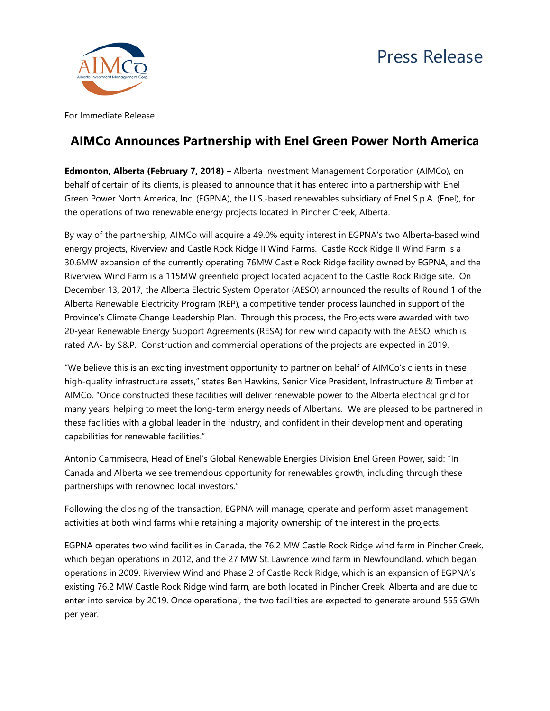



For Immediate Release

## **AIMCo Announces Partnership with Enel Green Power North America**

**Edmonton, Alberta (February 7, 2018) –** Alberta Investment Management Corporation (AIMCo), on behalf of certain of its clients, is pleased to announce that it has entered into a partnership with Enel Green Power North America, Inc. (EGPNA), the U.S.-based renewables subsidiary of Enel S.p.A. (Enel), for the operations of two renewable energy projects located in Pincher Creek, Alberta.

By way of the partnership, AIMCo will acquire a 49.0% equity interest in EGPNA's two Alberta-based wind energy projects, Riverview and Castle Rock Ridge II Wind Farms. Castle Rock Ridge II Wind Farm is a 30.6MW expansion of the currently operating 76MW Castle Rock Ridge facility owned by EGPNA, and the Riverview Wind Farm is a 115MW greenfield project located adjacent to the Castle Rock Ridge site. On December 13, 2017, the Alberta Electric System Operator (AESO) announced the results of Round 1 of the Alberta Renewable Electricity Program (REP), a competitive tender process launched in support of the Province's Climate Change Leadership Plan. Through this process, the Projects were awarded with two 20-year Renewable Energy Support Agreements (RESA) for new wind capacity with the AESO, which is rated AA- by S&P. Construction and commercial operations of the projects are expected in 2019.

"We believe this is an exciting investment opportunity to partner on behalf of AIMCo's clients in these high-quality infrastructure assets," states Ben Hawkins, Senior Vice President, Infrastructure & Timber at AIMCo. "Once constructed these facilities will deliver renewable power to the Alberta electrical grid for many years, helping to meet the long-term energy needs of Albertans. We are pleased to be partnered in these facilities with a global leader in the industry, and confident in their development and operating capabilities for renewable facilities."

Antonio Cammisecra, Head of Enel's Global Renewable Energies Division Enel Green Power, said: "In Canada and Alberta we see tremendous opportunity for renewables growth, including through these partnerships with renowned local investors."

Following the closing of the transaction, EGPNA will manage, operate and perform asset management activities at both wind farms while retaining a majority ownership of the interest in the projects.

EGPNA operates two wind facilities in Canada, the 76.2 MW Castle Rock Ridge wind farm in Pincher Creek, which began operations in 2012, and the 27 MW St. Lawrence wind farm in Newfoundland, which began operations in 2009. Riverview Wind and Phase 2 of Castle Rock Ridge, which is an expansion of EGPNA's existing 76.2 MW Castle Rock Ridge wind farm, are both located in Pincher Creek, Alberta and are due to enter into service by 2019. Once operational, the two facilities are expected to generate around 555 GWh per year.